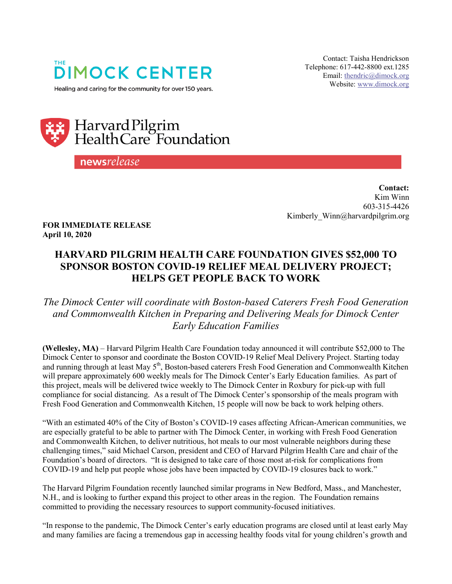

Healing and caring for the community for over 150 years.

Contact: Taisha Hendrickson Telephone: 617-442-8800 ext.1285 Email[: thendric@dimock.org](mailto:thendric@dimock.org) Website: [www.dimock.org](http://www.dimock.org/)



newsrelease

**Contact:**  Kim Winn 603-315-4426 Kimberly Winn@harvardpilgrim.org

**FOR IMMEDIATE RELEASE April 10, 2020**

## **HARVARD PILGRIM HEALTH CARE FOUNDATION GIVES \$52,000 TO SPONSOR BOSTON COVID-19 RELIEF MEAL DELIVERY PROJECT; HELPS GET PEOPLE BACK TO WORK**

*The Dimock Center will coordinate with Boston-based Caterers Fresh Food Generation and Commonwealth Kitchen in Preparing and Delivering Meals for Dimock Center Early Education Families*

**(Wellesley, MA)** – Harvard Pilgrim [Health Care Foundation](https://www.harvardpilgrim.org/portal/page?_pageid=213,84006&_dad=portal&_schema=PORTAL) today announced it will contribute \$52,000 to The Dimock Center to sponsor and coordinate the Boston COVID-19 Relief Meal Delivery Project. Starting today and running through at least May 5<sup>th</sup>, Boston-based caterers Fresh Food Generation and Commonwealth Kitchen will prepare approximately 600 weekly meals for The Dimock Center's Early Education families. As part of this project, meals will be delivered twice weekly to The Dimock Center in Roxbury for pick-up with full compliance for social distancing. As a result of The Dimock Center's sponsorship of the meals program with Fresh Food Generation and Commonwealth Kitchen, 15 people will now be back to work helping others.

"With an estimated 40% of the City of Boston's COVID-19 cases affecting African-American communities, we are especially grateful to be able to partner with The Dimock Center, in working with Fresh Food Generation and Commonwealth Kitchen, to deliver nutritious, hot meals to our most vulnerable neighbors during these challenging times," said Michael Carson, president and CEO of Harvard Pilgrim Health Care and chair of the Foundation's board of directors. "It is designed to take care of those most at-risk for complications from COVID-19 and help put people whose jobs have been impacted by COVID-19 closures back to work."

The Harvard Pilgrim Foundation recently launched similar programs in New Bedford, Mass., and Manchester, N.H., and is looking to further expand this project to other areas in the region. The Foundation remains committed to providing the necessary resources to support community-focused initiatives.

"In response to the pandemic, The Dimock Center's early education programs are closed until at least early May and many families are facing a tremendous gap in accessing healthy foods vital for young children's growth and